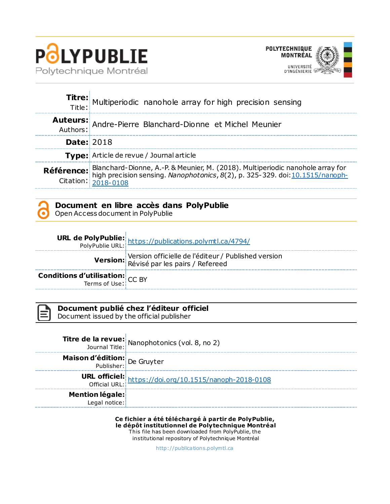



|                   | Titre: Multiperiodic nanohole array for high precision sensing                                                                                                                                                                          |
|-------------------|-----------------------------------------------------------------------------------------------------------------------------------------------------------------------------------------------------------------------------------------|
|                   | Auteurs: Andre-Pierre Blanchard-Dionne et Michel Meunier                                                                                                                                                                                |
| <b>Date: 2018</b> |                                                                                                                                                                                                                                         |
|                   | Type: Article de revue / Journal article                                                                                                                                                                                                |
|                   | <b>Référence:</b> Blanchard-Dionne, A.-P. & Meunier, M. (2018). Multiperiodic nanohole array for<br>high precision sensing. <i>Nanophotonics</i> , $8(2)$ , p. 325-329. doi: 10.1515/nanoph-<br>Citation: $\frac{2018-0108}{2018-0108}$ |

## **Document en libre accès dans PolyPublie**

Open Access document in PolyPublie

|                                                                   | <b>URL de PolyPublie:</b><br>PolyPublie URL: https://publications.polymtl.ca/4794/     |
|-------------------------------------------------------------------|----------------------------------------------------------------------------------------|
|                                                                   | Version officielle de l'éditeur / Published version<br>Révisé par les pairs / Refereed |
| <b>Conditions d'utilisation:</b> $CC$ BY<br>Terms of Use: $CC$ BY |                                                                                        |

| $\mathcal{L}^{\text{max}}_{\text{max}}$ and $\mathcal{L}^{\text{max}}_{\text{max}}$ and $\mathcal{L}^{\text{max}}_{\text{max}}$ |
|---------------------------------------------------------------------------------------------------------------------------------|
| ٧                                                                                                                               |
|                                                                                                                                 |
|                                                                                                                                 |
|                                                                                                                                 |

# **Document publié chez l'éditeur officiel**

Document issued by the official publisher

|                                  | <b>Titre de la revue:</b> Nanophotonics (vol. 8, no 2)<br>Journal Title: Nanophotonics (vol. 8, no 2) |
|----------------------------------|-------------------------------------------------------------------------------------------------------|
| Maison d'édition: De Gruyter     |                                                                                                       |
|                                  | URL officiel: https://doi.org/10.1515/nanoph-2018-0108                                                |
| Mention légale:<br>Legal notice: |                                                                                                       |

**Ce fichier a été téléchargé à partir de PolyPublie, le dépôt institutionnel de Polytechnique Montréal** This file has been downloaded from PolyPublie, the institutional repository of Polytechnique Montréal

[http://publica tions.polymtl.ca](http://publications.polymtl.ca/)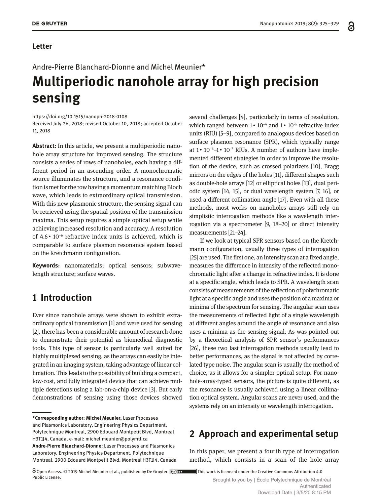Andre-Pierre Blanchard-Dionne and Michel Meunier\*

# **Multiperiodic nanohole array for high precision sensing**

<https://doi.org/10.1515/nanoph-2018-0108>

Received July 26, 2018; revised October 10, 2018; accepted October 11, 2018

**Abstract:** In this article, we present a multiperiodic nanohole array structure for improved sensing. The structure consists a series of rows of nanoholes, each having a different period in an ascending order. A monochromatic source illuminates the structure, and a resonance condition is met for the row having a momentum matching Bloch wave, which leads to extraordinary optical transmission. With this new plasmonic structure, the sensing signal can be retrieved using the spatial position of the transmission maxima. This setup requires a simple optical setup while achieving increased resolution and accuracy. A resolution of 4.6   10−6 refractive index units is achieved, which is comparable to surface plasmon resonance system based on the Kretchmann configuration.

**Keywords:** nanomaterials; optical sensors; subwavelength structure; surface waves.

# **1 Introduction**

Ever since nanohole arrays were shown to exhibit extraordinary optical transmission [1] and were used for sensing [2], there has been a considerable amount of research done to demonstrate their potential as biomedical diagnostic tools. This type of sensor is particularly well suited for highly multiplexed sensing, as the arrays can easily be integrated in an imaging system, taking advantage of linear collimation. This leads to the possibility of building a compact, low-cost, and fully integrated device that can achieve multiple detections using a lab-on-a-chip device [3]. But early demonstrations of sensing using those devices showed

several challenges [4], particularly in terms of resolution, which ranged between 1   10−4 and 1   10−5 refractive index units (RIU) [5–9], compared to analogous devices based on surface plasmon resonance (SPR), which typically range at 1   10−6–1   10−7 RIUs. A number of authors have implemented different strategies in order to improve the resolution of the device, such as crossed polarizers [10], Bragg mirrors on the edges of the holes [11], different shapes such as double-hole arrays [12] or elliptical holes [13], dual periodic system [14, 15], or dual wavelength system [7, 16], or used a different collimation angle [17]. Even with all these methods, most works on nanoholes arrays still rely on simplistic interrogation methods like a wavelength interrogation via a spectrometer [9, 18–20] or direct intensity measurements [21–24].

If we look at typical SPR sensors based on the Kretchmann configuration, usually three types of interrogation [25] are used. The first one, an intensity scan at a fixed angle, measures the difference in intensity of the reflected monochromatic light after a change in refractive index. It is done at a specific angle, which leads to SPR. A wavelength scan consists of measurements of the reflection of polychromatic light at a specific angle and uses the position of a maxima or minima of the spectrum for sensing. The angular scan uses the measurements of reflected light of a single wavelength at different angles around the angle of resonance and also uses a minima as the sensing signal. As was pointed out by a theoretical analysis of SPR sensor's performances [26], these two last interrogation methods usually lead to better performances, as the signal is not affected by correlated type noise. The angular scan is usually the method of choice, as it allows for a simpler optical setup. For nanohole-array-typed sensors, the picture is quite different, as the resonance is usually achieved using a linear collimation optical system. Angular scans are never used, and the systems rely on an intensity or wavelength interrogation.

# **2 Approach and experimental setup**

In this paper, we present a fourth type of interrogation method, which consists in a scan of the hole array

Public License.<br>Brought to you by | École Polytechnique de Montréal Authenticated Download Date | 3/5/20 8:15 PM ႕

**<sup>\*</sup>Corresponding author: Michel Meunier,** Laser Processes and Plasmonics Laboratory, Engineering Physics Department, Polytechnique Montreal, 2900 Edouard Montpetit Blvd, Montreal H3T1J4, Canada, e-mail: [michel.meunier@polymtl.ca](mailto:michel.meunier@polymtl.ca) **Andre-Pierre Blanchard-Dionne:** Laser Processes and Plasmonics Laboratory, Engineering Physics Department, Polytechnique Montreal, 2900 Edouard Montpetit Blvd, Montreal H3T1J4, Canada

Open Access. © 2019 Michel Meunier et al., published by De Gruyter. ( $\degree$ ) BY This work is licensed under the Creative Commons Attribution 4.0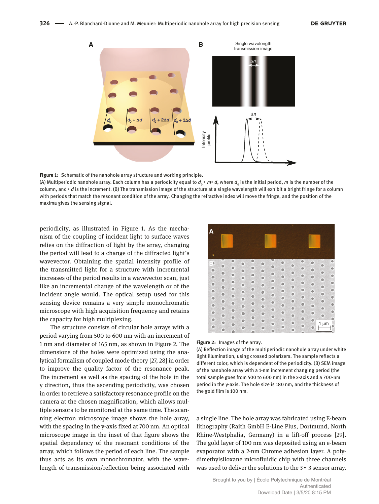

**Figure 1:** Schematic of the nanohole array structure and working principle.

(A) Multiperiodic nanohole array. Each column has a periodicity equal to  $d_0 \cdot m \cdot d$ , where  $d_0$  is the initial period, *m* is the number of the column, and  $\cdot$  *d* is the increment. (B) The transmission image of the structure at a single wavelength will exhibit a bright fringe for a column with periods that match the resonant condition of the array. Changing the refractive index will move the fringe, and the position of the maxima gives the sensing signal.

periodicity, as illustrated in Figure 1. As the mechanism of the coupling of incident light to surface waves relies on the diffraction of light by the array, changing the period will lead to a change of the diffracted light's wavevector. Obtaining the spatial intensity profile of the transmitted light for a structure with incremental increases of the period results in a wavevector scan, just like an incremental change of the wavelength or of the incident angle would. The optical setup used for this sensing device remains a very simple monochromatic microscope with high acquisition frequency and retains the capacity for high multiplexing.

The structure consists of circular hole arrays with a period varying from 500 to 600 nm with an increment of 1 nm and diameter of 165 nm, as shown in Figure 2. The dimensions of the holes were optimized using the analytical formalism of coupled mode theory [27, 28] in order to improve the quality factor of the resonance peak. The increment as well as the spacing of the hole in the y direction, thus the ascending periodicity, was chosen in order to retrieve a satisfactory resonance profile on the camera at the chosen magnification, which allows multiple sensors to be monitored at the same time. The scanning electron microscope image shows the hole array, with the spacing in the y-axis fixed at 700 nm. An optical microscope image in the inset of that figure shows the spatial dependency of the resonant conditions of the array, which follows the period of each line. The sample thus acts as its own monochromator, with the wavelength of transmission/reflection being associated with



#### **Figure 2:** Images of the array.

(A) Reflection image of the multiperiodic nanohole array under white light illumination, using crossed polarizers. The sample reflects a different color, which is dependent of the periodicity. (B) SEM image of the nanohole array with a 1-nm increment changing period (the total sample goes from 500 to 600 nm) in the x-axis and a 700-nm period in the y-axis. The hole size is 180 nm, and the thickness of the gold film is 100 nm.

a single line. The hole array was fabricated using E-beam lithography (Raith GmbH E-Line Plus, Dortmund, North Rhine-Westphalia, Germany) in a lift-off process [29]. The gold layer of 100 nm was deposited using an e-beam evaporator with a 2-nm Chrome adhesion layer. A polydimethylsiloxane microfluidic chip with three channels was used to deliver the solutions to the 3  $\cdot$  3 sensor array.

> Brought to you by | École Polytechnique de Montréal Authenticated Download Date | 3/5/20 8:15 PM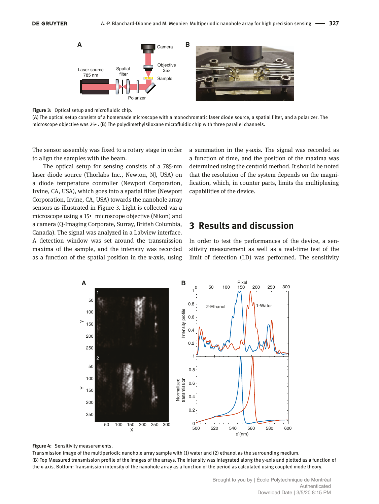

**Figure 3:** Optical setup and microfluidic chip.

(A) The optical setup consists of a homemade microscope with a monochromatic laser diode source, a spatial filter, and a polarizer. The microscope objective was 25 $\cdot$ . (B) The polydimethylsiloxane microfluidic chip with three parallel channels.

The sensor assembly was fixed to a rotary stage in order to align the samples with the beam.

The optical setup for sensing consists of a 785-nm laser diode source (Thorlabs Inc., Newton, NJ, USA) on a diode temperature controller (Newport Corporation, Irvine, CA, USA), which goes into a spatial filter (Newport Corporation, Irvine, CA, USA) towards the nanohole array sensors as illustrated in Figure 3. Light is collected via a microscope using a 15• microscope objective (Nikon) and a camera (Q-Imaging Corporate, Surray, British Columbia, Canada). The signal was analyzed in a Labview interface. A detection window was set around the transmission maxima of the sample, and the intensity was recorded as a function of the spatial position in the x-axis, using a summation in the y-axis. The signal was recorded as a function of time, and the position of the maxima was determined using the centroid method. It should be noted that the resolution of the system depends on the magnification, which, in counter parts, limits the multiplexing capabilities of the device.

# **3 Results and discussion**

In order to test the performances of the device, a sensitivity measurement as well as a real-time test of the limit of detection (LD) was performed. The sensitivity



**Figure 4:** Sensitivity measurements.

Transmission image of the multiperiodic nanohole array sample with (1) water and (2) ethanol as the surrounding medium. (B) Top Measured transmission profile of the images of the arrays. The intensity was integrated along the y-axis and plotted as a function of the x-axis. Bottom: Transmission intensity of the nanohole array as a function of the period as calculated using coupled mode theory.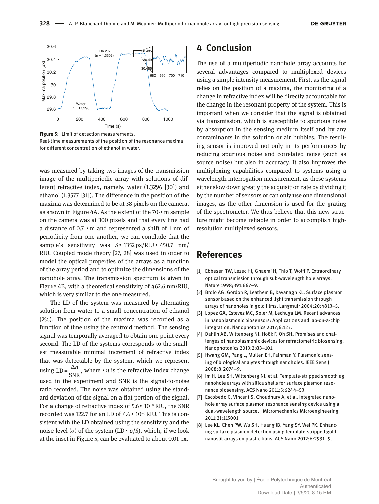

**Figure 5:** Limit of detection measurements. Real-time measurements of the position of the resonance maxima for different concentration of ethanol in water.

was measured by taking two images of the transmission image of the multiperiodic array with solutions of different refractive index, namely, water (1.3296 [30]) and ethanol (1.3577 [31]). The difference in the position of the maxima was determined to be at 38 pixels on the camera, as shown in Figure 4A. As the extent of the 70- $\cdot$  m sample on the camera was at 300 pixels and that every line had a distance of 0.7 m and represented a shift of 1 nm of periodicity from one another, we can conclude that the sample's sensitivity was  $S \cdot 1352$  px/RIU  $\cdot 450.7$  nm/ RIU. Coupled mode theory [27, 28] was used in order to model the optical properties of the arrays as a function of the array period and to optimize the dimensions of the nanohole array. The transmission spectrum is given in Figure 4B, with a theoretical sensitivity of 462.6 nm/RIU, which is very similar to the one measured.

The LD of the system was measured by alternating solution from water to a small concentration of ethanol (2%). The position of the maxima was recorded as a function of time using the centroid method. The sensing signal was temporally averaged to obtain one point every second. The LD of the systems corresponds to the smallest measurable minimal increment of refractive index that was detectable by the system, which we represent using  $LD = \frac{\Delta n}{SNR}$ , where  $\cdot n$  is the refractive index change used in the experiment and SNR is the signal-to-noise ratio recorded. The noise was obtained using the standard deviation of the signal on a flat portion of the signal. For a change of refractive index of 5.6   10−4 RIU, the SNR recorded was 122.7 for an LD of 4.6   10−6 RIU. This is consistent with the LD obtained using the sensitivity and the noise level (*σ*) of the system (LD  $\cdot$  *σ*/*S*), which, if we look at the inset in Figure 5, can be evaluated to about 0.01 px.

### **4 Conclusion**

The use of a multiperiodic nanohole array accounts for several advantages compared to multiplexed devices using a simple intensity measurement. First, as the signal relies on the position of a maxima, the monitoring of a change in refractive index will be directly accountable for the change in the resonant property of the system. This is important when we consider that the signal is obtained via transmission, which is susceptible to spurious noise by absorption in the sensing medium itself and by any contaminants in the solution or air bubbles. The resulting sensor is improved not only in its performances by reducing spurious noise and correlated noise (such as source noise) but also in accuracy. It also improves the multiplexing capabilities compared to systems using a wavelength interrogation measurement, as these systems either slow down greatly the acquisition rate by dividing it by the number of sensors or can only use one dimensional images, as the other dimension is used for the grating of the spectrometer. We thus believe that this new structure might become reliable in order to accomplish highresolution multiplexed sensors.

#### **References**

- [1] Ebbesen TW, Lezec HJ, Ghaemi H, Thio T, Wolff P. Extraordinary optical transmission through sub-wavelength hole arrays. Nature 1998;391:667–9.
- [2] Brolo AG, Gordon R, Leathem B, Kavanagh KL. Surface plasmon sensor based on the enhanced light transmission through arrays of nanoholes in gold films. Langmuir 2004;20:4813–5.
- [3] Lopez GA, Estevez MC, Soler M, Lechuga LM. Recent advances in nanoplasmonic biosensors: Applications and lab-on-a-chip integration. Nanophotonics 2017;6:123.
- [4] Dahlin AB, Wittenberg NJ, Höök F, Oh SH. Promises and challenges of nanoplasmonic devices for refractometric biosensing. Nanophotonics 2013;2:83–101.
- [5] Hwang GM, Pang L, Mullen EH, Fainman Y. Plasmonic sensing of biological analytes through nanoholes. IEEE Sens J 2008;8:2074–9.
- [6] Im H, Lee SH, Wittenberg NJ, et al. Template-stripped smooth ag nanohole arrays with silica shells for surface plasmon resonance biosensing. ACS Nano 2011;5:6244–53.
- [7] Escobedo C, Vincent S, Choudhury A, et al. Integrated nanohole array surface plasmon resonance sensing device using a dual-wavelength source. J Micromechanics Microengineering 2011;21:115001.
- [8] Lee KL, Chen PW, Wu SH, Huang JB, Yang SY, Wei PK. Enhancing surface plasmon detection using template-stripped gold nanoslit arrays on plastic films*.* ACS Nano 2012;6:2931–9.